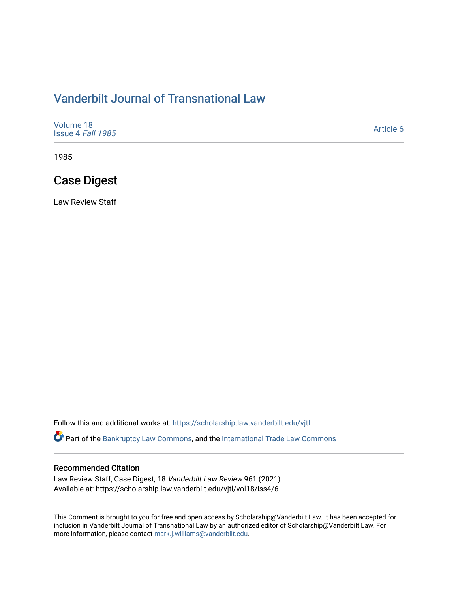# [Vanderbilt Journal of Transnational Law](https://scholarship.law.vanderbilt.edu/vjtl)

| Volume 18<br>Issue 4 Fall 1985 | Article 6 |
|--------------------------------|-----------|
|--------------------------------|-----------|

1985

# Case Digest

Law Review Staff

Follow this and additional works at: [https://scholarship.law.vanderbilt.edu/vjtl](https://scholarship.law.vanderbilt.edu/vjtl?utm_source=scholarship.law.vanderbilt.edu%2Fvjtl%2Fvol18%2Fiss4%2F6&utm_medium=PDF&utm_campaign=PDFCoverPages) 

Part of the [Bankruptcy Law Commons,](http://network.bepress.com/hgg/discipline/583?utm_source=scholarship.law.vanderbilt.edu%2Fvjtl%2Fvol18%2Fiss4%2F6&utm_medium=PDF&utm_campaign=PDFCoverPages) and the International Trade Law Commons

#### Recommended Citation

Law Review Staff, Case Digest, 18 Vanderbilt Law Review 961 (2021) Available at: https://scholarship.law.vanderbilt.edu/vjtl/vol18/iss4/6

This Comment is brought to you for free and open access by Scholarship@Vanderbilt Law. It has been accepted for inclusion in Vanderbilt Journal of Transnational Law by an authorized editor of Scholarship@Vanderbilt Law. For more information, please contact [mark.j.williams@vanderbilt.edu](mailto:mark.j.williams@vanderbilt.edu).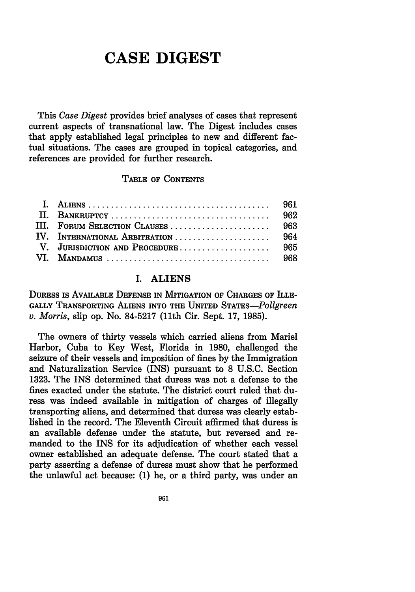# **CASE DIGEST**

This *Case Digest* provides brief analyses of cases that represent current aspects of transnational law. The Digest includes cases that apply established legal principles to new and different factual situations. The cases are grouped in topical categories, and references are provided for further research.

#### TABLE OF CONTENTS

| IV. INTERNATIONAL ARBITRATION  964 |  |
|------------------------------------|--|
|                                    |  |
|                                    |  |

#### I. ALIENS

DURESS IS AVAILABLE DEFENSE **IN** MITIGATION OF **CHARGES** OF ILLE-**GALLY** TRANSPORTING **ALIENS** INTO THE UNITED STATES-Pollgreen *v. Morris,* slip op. No. **84-5217** (11th Cir. Sept. **17, 1985).**

The owners of thirty vessels which carried aliens from Mariel Harbor, Cuba to Key West, Florida in **1980,** challenged the seizure of their vessels and imposition of fines **by** the Immigration and Naturalization Service (INS) pursuant to **8 U.S.C.** Section **1323.** The **INS** determined that duress was not a defense to the fines exacted under the statute. The district court ruled that duress was indeed available in mitigation of charges of illegally transporting aliens, and determined that duress was clearly established in the record. The Eleventh Circuit affirmed that duress is an available defense under the statute, but reversed and remanded to the INS for its adjudication of whether each vessel owner established an adequate defense. The court stated that a party asserting a defense of duress must show that he performed the unlawful act because: **(1)** he, or a third party, was under an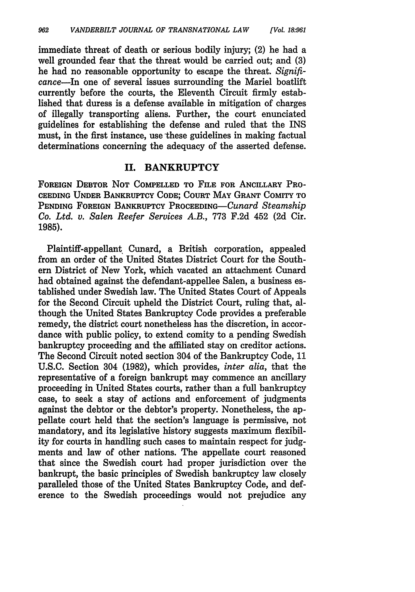immediate threat of death or serious bodily injury; (2) he had a well grounded fear that the threat would be carried out; and **(3)** he had no reasonable opportunity to escape the threat. *Signifi*cance-In one of several issues surrounding the Mariel boatlift currently before the courts, the Eleventh Circuit firmly established that duress is a defense available in mitigation of charges of illegally transporting aliens. Further, the court enunciated guidelines for establishing the defense and ruled that the INS must, in the first instance, use these guidelines in making factual determinations concerning the adequacy of the asserted defense.

#### **II. BANKRUPTCY**

**FOREIGN** DEBTOR **NOT** COMPELLED TO **FILE FOR** ANCILLARY PRO-CEEDING **UNDER** BANKRUPTCY **CODE;** COURT MAY GRANT COMITY TO PENDING **FOREIGN** BANKRUPTCY PROCEEDING--Cunard *Steamship Co. Ltd. v. Salen Reefer Services A.B.,* 773 F.2d 452 (2d Cir. **1985).**

Plaintiff-appellant Cunard, a British corporation, appealed from an order of the United States District Court for the Southern District of New York, which vacated an attachment Cunard had obtained against the defendant-appellee Salen, a business established under Swedish law. The United States Court of Appeals for the Second Circuit upheld the District Court, ruling that, although the United States Bankruptcy Code provides a preferable remedy, the district court nonetheless has the discretion, in accordance with public policy, to extend comity to a pending Swedish bankruptcy proceeding and the affiliated stay on creditor actions. The Second Circuit noted section 304 of the Bankruptcy Code, 11 U.S.C. Section 304 (1982), which provides, *inter alia,* that the representative of a foreign bankrupt may commence an ancillary proceeding in United States courts, rather than a full bankruptcy case, to seek a stay of actions and enforcement of judgments against the debtor or the debtor's property. Nonetheless, the appellate court held that the section's language is permissive, not mandatory, and its legislative history suggests maximum flexibility for courts in handling such cases to maintain respect for judgments and law of other nations. The appellate court reasoned that since the Swedish court had proper jurisdiction over the bankrupt, the basic principles of Swedish bankruptcy law closely paralleled those of the United States Bankruptcy Code, and deference to the Swedish proceedings would not prejudice any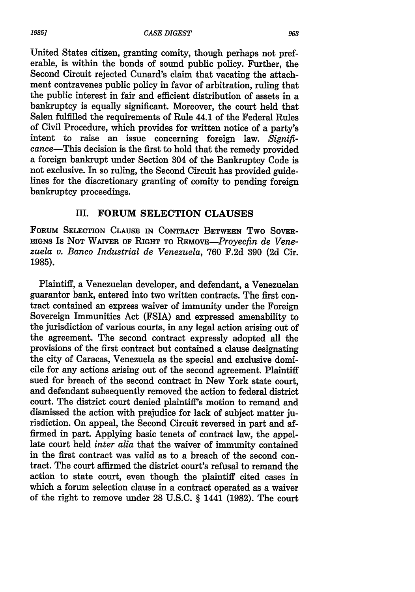United States citizen, granting comity, though perhaps not preferable, is within the bonds of sound public policy. Further, the Second Circuit rejected Cunard's claim that vacating the attachment contravenes public policy in favor of arbitration, ruling that the public interest in fair and efficient distribution of assets in a bankruptcy is equally significant. Moreover, the court held that Salen fulfilled the requirements of Rule 44.1 of the Federal Rules of Civil Procedure, which provides for written notice of a party's intent to raise an issue concerning foreign law. *Signifi*cance-This decision is the first to hold that the remedy provided a foreign bankrupt under Section 304 of the Bankruptcy Code is not exclusive. In so ruling, the Second Circuit has provided guidelines for the discretionary granting of comity to pending foreign bankruptcy proceedings.

### **III. FORUM SELECTION CLAUSES**

FORUM SELECTION CLAUSE IN CONTRACT BETWEEN TWO SOVER-**EIGNS** Is **NOT** WAIVER **OF RIGHT TO** *REMOVE-Proyecfin de Venezuela v. Banco Industrial de Venezuela,* 760 F.2d 390 (2d Cir. **1985).**

Plaintiff, a Venezuelan developer, and defendant, a Venezuelan guarantor bank, entered into two written contracts. The first contract contained an express waiver of immunity under the Foreign Sovereign Immunities Act (FSIA) and expressed amenability to the jurisdiction of various courts, in any legal action arising out of the agreement. The second contract expressly adopted all the provisions of the first contract but contained a clause designating the city of Caracas, Venezuela as the special and exclusive domicile for any actions arising out of the second agreement. Plaintiff sued for breach of the second contract in New York state court, and defendant subsequently removed the action to federal district court. The district court denied plaintiff's motion to remand and dismissed the action with prejudice for lack of subject matter jurisdiction. On appeal, the Second Circuit reversed in part and affirmed in part. Applying basic tenets of contract law, the appellate court held *inter alia* that the waiver of immunity contained in the first contract was valid as to a breach of the second contract. The court affirmed the district court's refusal to remand the action to state court, even though the plaintiff cited cases in which a forum selection clause in a contract operated as a waiver of the right to remove under 28 U.S.C. § 1441 (1982). The court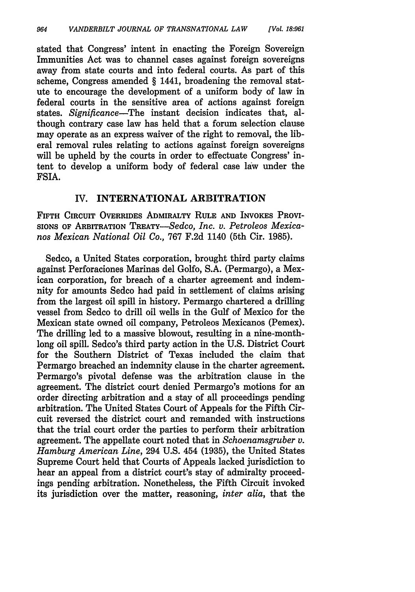stated that Congress' intent in enacting the Foreign Sovereign Immunities Act was to channel cases against foreign sovereigns away from state courts and into federal courts. As part of this scheme, Congress amended § 1441, broadening the removal statute to encourage the development of a uniform body of law in federal courts in the sensitive area of actions against foreign states. *Significance-The* instant decision indicates that, although contrary case law has held that a forum selection clause may operate as an express waiver of the right to removal, the liberal removal rules relating to actions against foreign sovereigns will be upheld by the courts in order to effectuate Congress' intent to develop a uniform body of federal case law under the FSIA.

#### IV. INTERNATIONAL ARBITRATION

FIFTH **CIRCUIT** OVERRIDES ADMIRALTY RULE **AND** INVOKES **PROVI-**SIONS OF ARBITRATION TREATY-Sedco, *Inc. v. Petroleos Mexicanos Mexican National Oil Co.,* 767 F.2d 1140 (5th Cir. 1985).

Sedco, a United States corporation, brought third party claims against Perforaciones Marinas del Golfo, S.A. (Permargo), a Mexican corporation, for breach of a charter agreement and indemnity for amounts Sedco had paid in settlement of claims arising from the largest oil spill in history. Permargo chartered a drilling vessel from Sedco to drill oil wells in the Gulf of Mexico for the Mexican state owned oil company, Petroleos Mexicanos (Pemex). The drilling led to a massive blowout, resulting in a nine-monthlong oil spill. Sedco's third party action in the U.S. District Court for the Southern District of Texas included the claim that Permargo breached an indemnity clause in the charter agreement. Permargo's pivotal defense was the arbitration clause in the agreement. The district court denied Permargo's motions for an order directing arbitration and a stay of all proceedings pending arbitration. The United States Court of Appeals for the Fifth Circuit reversed the district court and remanded with instructions that the trial court order the parties to perform their arbitration agreement. The appellate court noted that in *Schoenamsgruber v. Hamburg American Line,* 294 U.S. 454 (1935), the United States Supreme Court held that Courts of Appeals lacked jurisdiction to hear an appeal from a district court's stay of admiralty proceedings pending arbitration. Nonetheless, the Fifth Circuit invoked its jurisdiction over the matter, reasoning, *inter alia,* that the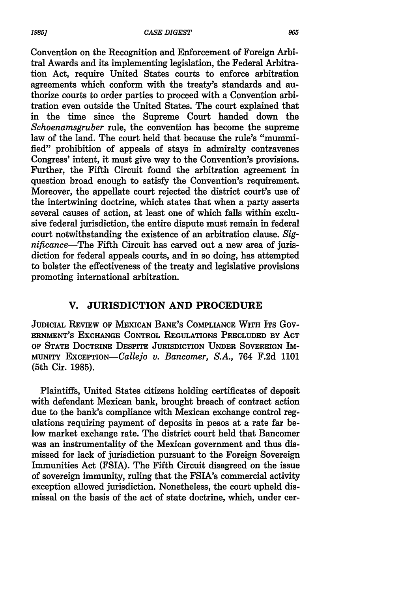Convention on the Recognition and Enforcement of Foreign Arbitral Awards and its implementing legislation, the Federal Arbitration Act, require United States courts to enforce arbitration agreements which conform with the treaty's standards and authorize courts to order parties to proceed with a Convention arbitration even outside the United States. The court explained that in the time since the Supreme Court handed down the *Schoenamsgruber* rule, the convention has become the supreme law of the land. The court held that because the rule's "mummified" prohibition of appeals of stays in admiralty contravenes Congress' intent, it must give way to the Convention's provisions. Further, the Fifth Circuit found the arbitration agreement in question broad enough to satisfy the Convention's requirement. Moreover, the appellate court rejected the district court's use of the intertwining doctrine, which states that when a party asserts several causes of action, at least one of which falls within exclusive federal jurisdiction, the entire dispute must remain in federal court notwithstanding the existence of an arbitration clause. *Significance-The* Fifth Circuit has carved out a new area of jurisdiction for federal appeals courts, and in so doing, has attempted to bolster the effectiveness of the treaty and legislative provisions promoting international arbitration.

### **V. JURISDICTION AND PROCEDURE**

**JUDICIAL REVIEW OF MEXICAN BANK'S COMPLIANCE WITH ITS GOV-ERNMENT'S EXCHANGE CONTROL REGULATIONS PRECLUDED BY ACT OF STATE DOCTRINE DESPITE JURISDICTION UNDER SOVEREIGN** IM-**MUNITY EXCEPTION-Callejo v. Bancomer, S.A., 764 F.2d 1101** (5th Cir. 1985).

Plaintiffs, United States citizens holding certificates of deposit with defendant Mexican bank, brought breach of contract action due to the bank's compliance with Mexican exchange control regulations requiring payment of deposits in pesos at a rate far below market exchange rate. The district court held that Bancomer was an instrumentality of the Mexican government and thus dismissed for lack of jurisdiction pursuant to the Foreign Sovereign Immunities Act (FSIA). The Fifth Circuit disagreed on the issue of sovereign immunity, ruling that the FSIA's commercial activity exception allowed jurisdiction. Nonetheless, the court upheld dismissal on the basis of the act of state doctrine, which, under cer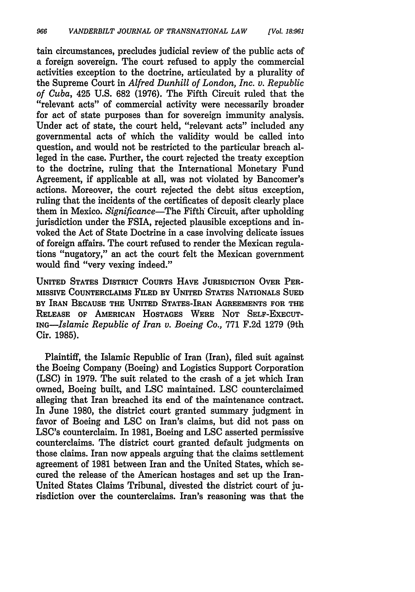tain circumstances, precludes judicial review of the public acts of a foreign sovereign. The court refused to apply the commercial activities exception to the doctrine, articulated by a plurality of the Supreme Court in *Alfred Dunhill of London, Inc. v. Republic of Cuba,* 425 U.S. 682 (1976). The Fifth Circuit ruled that the "relevant acts" of commercial activity were necessarily broader for act of state purposes than for sovereign immunity analysis. Under act of state, the court held, "relevant acts" included any governmental acts of which the validity would be called into question, and would not be restricted to the particular breach alleged in the case. Further, the court rejected the treaty exception to the doctrine, ruling that the International Monetary Fund Agreement, if applicable at all, was not violated by Bancomer's actions. Moreover, the court rejected the debt situs exception, ruling that the incidents of the certificates of deposit clearly place them in Mexico. *Significance-The* Fifth Circuit, after upholding jurisdiction under the FSIA, rejected plausible exceptions and invoked the Act of State Doctrine in a case involving delicate issues of foreign affairs. The court refused to render the Mexican regulations "nugatory," an act the court felt the Mexican government would find "very vexing indeed."

**UNITED** STATES DISTRICT COURTS HAVE JURISDICTION OVER PER-MISSIVE COUNTERCLAIMS FILED BY UNITED STATES **NATIONALS SUED** BY IRAN **BECAUSE** THE **UNITED** STATES-IRAN **AGREEMENTS** FOR **THE RELEASE** OF **AMERICAN HOSTAGES** WERE **NOT SELF-EXECUT-***ING-Islamic Republic of Iran v. Boeing Co.,* 771 F.2d 1279 (9th Cir. 1985).

Plaintiff, the Islamic Republic of Iran (Iran), filed suit against the Boeing Company (Boeing) and Logistics Support Corporation (LSC) in 1979. The suit related to the crash of a jet which Iran owned, Boeing built, and LSC maintained. LSC counterclaimed alleging that Iran breached its end of the maintenance contract. In June 1980, the district court granted summary judgment in favor of Boeing and LSC on Iran's claims, but did not pass on LSC's counterclaim. In 1981, Boeing and LSC asserted permissive counterclaims. The district court granted default judgments on those claims. Iran now appeals arguing that the claims settlement agreement of 1981 between Iran and the United States, which secured the release of the American hostages and set up the Iran-United States Claims Tribunal, divested the district court of jurisdiction over the counterclaims. Iran's reasoning was that the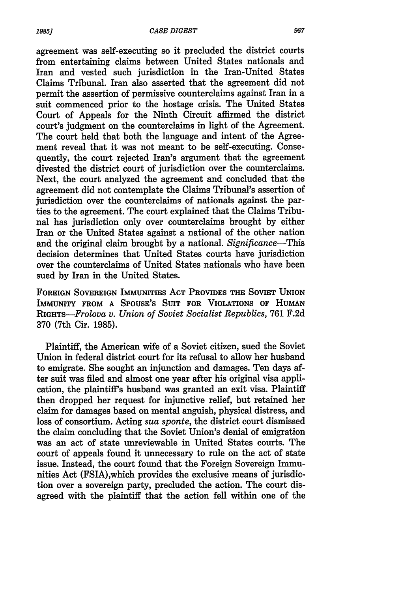agreement was self-executing so it precluded the district courts from entertaining claims between United States nationals and Iran and vested such jurisdiction in the Iran-United States Claims Tribunal. Iran also asserted that the agreement did not permit the assertion of permissive counterclaims against Iran in a suit commenced prior to the hostage crisis. The United States Court of Appeals for the Ninth Circuit affirmed the district court's judgment on the counterclaims in light of the Agreement. The court held that both the language and intent of the Agreement reveal that it was not meant to be self-executing. Consequently, the court rejected Iran's argument that the agreement divested the district court of jurisdiction over the counterclaims. Next, the court analyzed the agreement and concluded that the agreement did not contemplate the Claims Tribunal's assertion of jurisdiction over the counterclaims of nationals against the parties to the agreement. The court explained that the Claims Tribunal has jurisdiction only over counterclaims brought by either Iran or the United States against a national of the other nation and the original claim brought by a national. *Significance-This* decision determines that United States courts have jurisdiction over the counterclaims of United States nationals who have been sued by Iran in the United States.

**FOREIGN SOVEREIGN** IMMUNITIES ACT PROVIDES **THE SOVIET UNION** IMMUNITY FROM **A** SPOUSE'S SUIT FOR VIOLATIONS OF **HUMAN** *RIGHTS-Frolova v. Union of Soviet Socialist Republics,* 761 F.2d 370 (7th Cir. 1985).

Plaintiff, the American wife of a Soviet citizen, sued the Soviet Union in federal district court for its refusal to allow her husband to emigrate. She sought an injunction and damages. Ten days after suit was filed and almost one year after his original visa application, the plaintiff's husband was granted an exit visa. Plaintiff then dropped her request for injunctive relief, but retained her claim for damages based on mental anguish, physical distress, and loss of consortium. Acting *sua sponte,* the district court dismissed the claim concluding that the Soviet Union's denial of emigration was an act of state unreviewable in United States courts. The court of appeals found it unnecessary to rule on the act of state issue. Instead, the court found that the Foreign Sovereign Immunities Act (FSIA),which provides the exclusive means of jurisdiction over a sovereign party, precluded the action. The court disagreed with the plaintiff that the action fell within one of the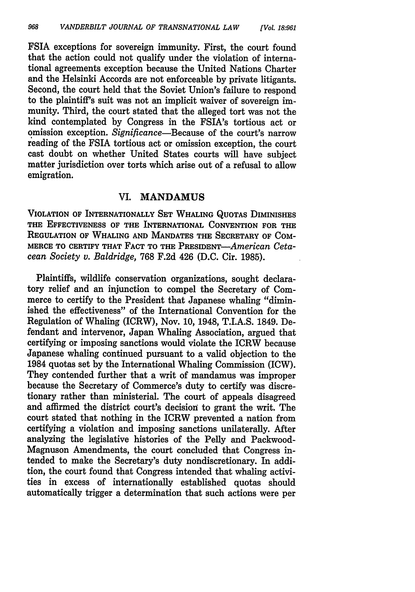FSIA exceptions for sovereign immunity. First, the court found that the action could not qualify under the violation of international agreements exception because the United Nations Charter and the Helsinki Accords are not enforceable **by** private litigants. Second, the court held that the Soviet Union's failure to respond to the plaintiff's suit was not an implicit waiver of sovereign immunity. Third, the court stated that the alleged tort was not the kind contemplated **by** Congress in the FSIA's tortious act or omission exception. *Significance-Because* of the court's narrow reading of the FSIA tortious act or omission exception, the court cast doubt on whether United States courts will have subject matter jurisdiction over torts which arise out of a refusal to allow emigration.

#### VI. **MANDAMUS**

**VIOLATION** OF INTERNATIONALLY **SET** WHALING QUOTAS DIMINISHES THE EFFECTIVENESS OF THE INTERNATIONAL **CONVENTION** FOR THE REGULATION OF WHALING **AND MANDATES** THE SECRETARY OF COM-MERCE TO CERTIFY THAT **FACT** TO THE *PRESIDENT-American Cetacean Society v. Baldridge,* **768 F.2d** 426 **(D.C.** Cir. **1985).**

Plaintiffs, wildlife conservation organizations, sought declaratory relief and an injunction to compel the Secretary of Commerce to certify to the President that Japanese whaling "diminished the effectiveness" of the International Convention for the Regulation of Whaling (ICRW), Nov. **10,** 1948, T.I.A.S. 1849. Defendant and intervenor, Japan Whaling Association, argued that certifying or imposing sanctions would violate the ICRW because Japanese whaling continued pursuant to a valid objection to the 1984 quotas set **by** the International Whaling Commission (ICW). They contended further that a writ of mandamus was improper because the Secretary of Commerce's duty to certify was discretionary rather than ministerial. The court of appeals disagreed and affirmed the district court's decision to grant the writ. The court stated that nothing in the ICRW prevented a nation from certifying a violation and imposing sanctions unilaterally. After analyzing the legislative histories of the Pelly and Packwood-Magnuson Amendments, the court concluded that Congress intended to make the Secretary's duty nondiscretionary. In addition, the court found that Congress intended that whaling activities in excess of internationally established quotas should automatically trigger a determination that such actions were per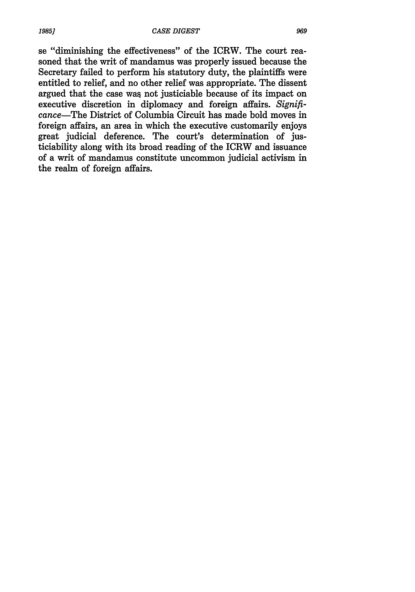se "diminishing the effectiveness" of the ICRW. The court reasoned that the writ of mandamus was properly issued because the Secretary failed to perform his statutory duty, the plaintiffs were entitled to relief, and no other relief was appropriate. The dissent argued that the case was not justiciable because of its impact on executive discretion in diplomacy and foreign affairs. *Significance-The* District of Columbia Circuit has made bold moves in foreign affairs, an area in which the executive customarily enjoys great judicial deference. The court's determination of justiciability along with its broad reading of the ICRW and issuance of a writ of mandamus constitute uncommon judicial activism in the realm of foreign affairs.